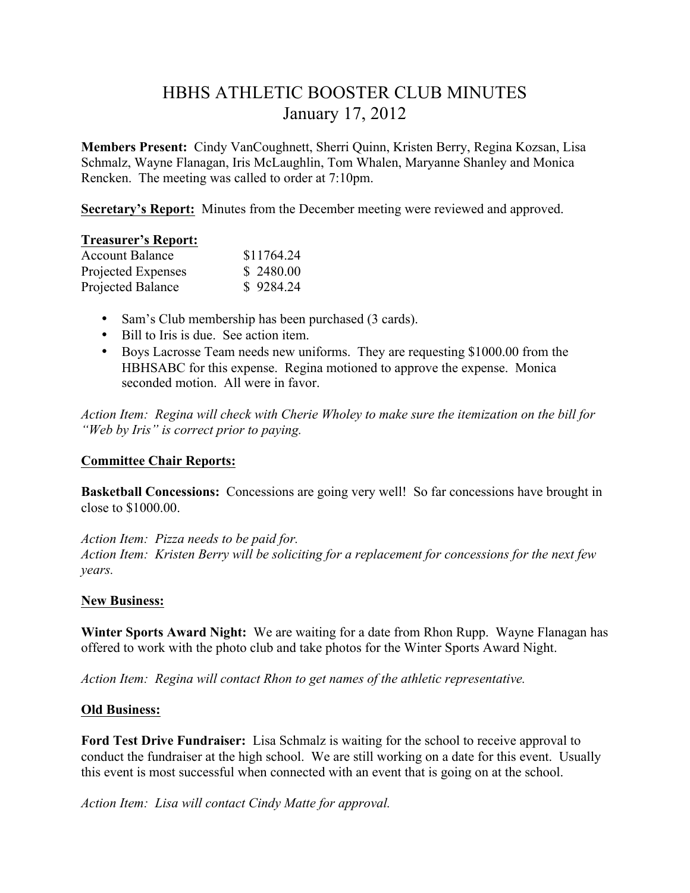# HBHS ATHLETIC BOOSTER CLUB MINUTES January 17, 2012

**Members Present:** Cindy VanCoughnett, Sherri Quinn, Kristen Berry, Regina Kozsan, Lisa Schmalz, Wayne Flanagan, Iris McLaughlin, Tom Whalen, Maryanne Shanley and Monica Rencken. The meeting was called to order at 7:10pm.

**Secretary's Report:** Minutes from the December meeting were reviewed and approved.

#### **Treasurer's Report:**

| <b>Account Balance</b> | \$11764.24 |
|------------------------|------------|
| Projected Expenses     | \$2480.00  |
| Projected Balance      | \$9284.24  |

- Sam's Club membership has been purchased (3 cards).
- Bill to Iris is due. See action item.
- Boys Lacrosse Team needs new uniforms. They are requesting \$1000.00 from the HBHSABC for this expense. Regina motioned to approve the expense. Monica seconded motion. All were in favor.

*Action Item: Regina will check with Cherie Wholey to make sure the itemization on the bill for "Web by Iris" is correct prior to paying.*

### **Committee Chair Reports:**

**Basketball Concessions:** Concessions are going very well! So far concessions have brought in close to \$1000.00.

*Action Item: Pizza needs to be paid for. Action Item: Kristen Berry will be soliciting for a replacement for concessions for the next few years.* 

## **New Business:**

**Winter Sports Award Night:** We are waiting for a date from Rhon Rupp. Wayne Flanagan has offered to work with the photo club and take photos for the Winter Sports Award Night.

*Action Item: Regina will contact Rhon to get names of the athletic representative.*

### **Old Business:**

**Ford Test Drive Fundraiser:** Lisa Schmalz is waiting for the school to receive approval to conduct the fundraiser at the high school. We are still working on a date for this event. Usually this event is most successful when connected with an event that is going on at the school.

*Action Item: Lisa will contact Cindy Matte for approval.*